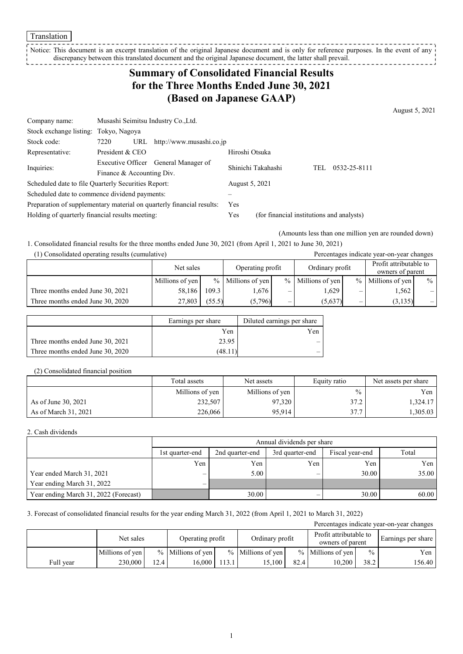Translation

Notice: This document is an excerpt translation of the original Japanese document and is only for reference purposes. In the event of any discrepancy between this translated document and the original Japanese document, the latter shall prevail. <u>-----------</u>

# **Summary of Consolidated Financial Results for the Three Months Ended June 30, 2021 (Based on Japanese GAAP)**

August 5, 2021

| Company name:                                                         | Musashi Seimitsu Industry Co., Ltd.  |     |                          |                                           |                     |  |  |
|-----------------------------------------------------------------------|--------------------------------------|-----|--------------------------|-------------------------------------------|---------------------|--|--|
| Stock exchange listing: Tokyo, Nagoya                                 |                                      |     |                          |                                           |                     |  |  |
| Stock code:                                                           | 7220                                 | URL | http://www.musashi.co.jp |                                           |                     |  |  |
| Representative:                                                       | President & CEO                      |     |                          | Hiroshi Otsuka                            |                     |  |  |
|                                                                       | Executive Officer General Manager of |     | Shinichi Takahashi       |                                           | 0532-25-8111<br>TEL |  |  |
| Inquiries:                                                            | Finance & Accounting Div.            |     |                          |                                           |                     |  |  |
| Scheduled date to file Quarterly Securities Report:                   |                                      |     |                          | August 5, 2021                            |                     |  |  |
| Scheduled date to commence dividend payments:                         |                                      |     |                          |                                           |                     |  |  |
| Preparation of supplementary material on quarterly financial results: |                                      |     |                          | <b>Yes</b>                                |                     |  |  |
| Holding of quarterly financial results meeting:                       |                                      |     | Yes                      | (for financial institutions and analysts) |                     |  |  |

(Amounts less than one million yen are rounded down)

1. Consolidated financial results for the three months ended June 30, 2021 (from April 1, 2021 to June 30, 2021)

(1) Consolidated operating results (cumulative) Percentages indicate year-on-year changes

|                                  | Net sales       |        | Operating profit    |   | Ordinary profit     |  | Profit attributable to<br>owners of parent |      |
|----------------------------------|-----------------|--------|---------------------|---|---------------------|--|--------------------------------------------|------|
|                                  | Millions of yen |        | $%$ Millions of yen |   | $%$ Millions of yen |  | $%$ Millions of yen                        | $\%$ |
| Three months ended June 30, 2021 | 58,186          | 109.3  | . 676               | - | .629                |  | 1.562                                      |      |
| Three months ended June 30, 2020 | 27,803          | (55.5) | (5,796)             | _ | (5,637)             |  | (3, 135)                                   | $-1$ |

|                                  | Earnings per share | Diluted earnings per share |
|----------------------------------|--------------------|----------------------------|
|                                  | Yen                | Yen                        |
| Three months ended June 30, 2021 | 23.95              |                            |
| Three months ended June 30, 2020 | (48.11             | _                          |

#### (2) Consolidated financial position

|                      | Total assets    | Net assets      | Equity ratio | Net assets per share |
|----------------------|-----------------|-----------------|--------------|----------------------|
|                      | Millions of yen | Millions of yen | $\%$         | Yen                  |
| As of June 30, 2021  | 232,507         | 97,320          | 37.2         | 1,324.17             |
| As of March 31, 2021 | 226,066         | 95.914          | 37.7         | 1,305.03             |

#### 2. Cash dividends

|                                       | Annual dividends per share |                 |                 |                 |       |  |  |  |
|---------------------------------------|----------------------------|-----------------|-----------------|-----------------|-------|--|--|--|
|                                       | 1st quarter-end            | 2nd quarter-end | 3rd quarter-end | Fiscal year-end | Total |  |  |  |
|                                       | Yen                        | Yen             | Yen             | Yen             | Yen 1 |  |  |  |
| Year ended March 31, 2021             | —                          | 5.00            | –               | 30.00           | 35.00 |  |  |  |
| Year ending March 31, 2022            | $\overline{\phantom{0}}$   |                 |                 |                 |       |  |  |  |
| Year ending March 31, 2022 (Forecast) |                            | 30.00           |                 | 30.00           | 60.00 |  |  |  |

3. Forecast of consolidated financial results for the year ending March 31, 2022 (from April 1, 2021 to March 31, 2022)

| Percentages indicate year-on-year changes |                 |      |                     |       |                     |      |                                            |               |                    |
|-------------------------------------------|-----------------|------|---------------------|-------|---------------------|------|--------------------------------------------|---------------|--------------------|
|                                           | Net sales       |      | Operating profit    |       | Ordinary profit     |      | Profit attributable to<br>owners of parent |               | Earnings per share |
|                                           | Millions of yen |      | $%$ Millions of yen |       | $%$ Millions of ven |      | $%$ Millions of yen                        | $\frac{0}{0}$ | Yen l              |
| Full year                                 | 230,000         | 12.4 | 16,000              | 113.1 | 15.100              | 82.4 | 10.200                                     | 38.2          | 156.40             |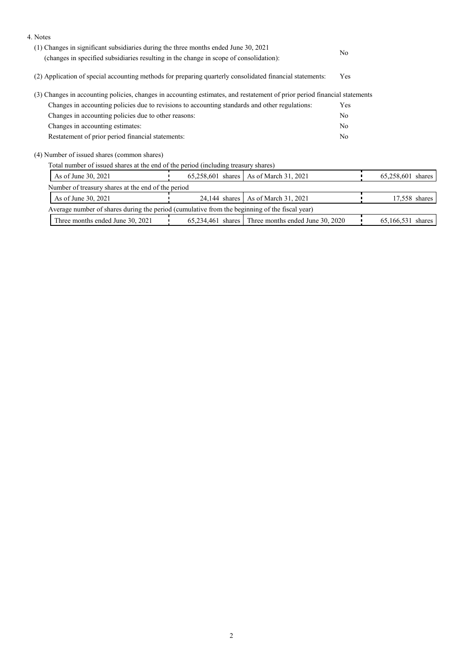| 4. Notes                                                                                                                  |                                                                                                          |                                                      |     |                   |  |
|---------------------------------------------------------------------------------------------------------------------------|----------------------------------------------------------------------------------------------------------|------------------------------------------------------|-----|-------------------|--|
| (1) Changes in significant subsidiaries during the three months ended June 30, 2021                                       | N <sub>0</sub>                                                                                           |                                                      |     |                   |  |
| (changes in specified subsidiaries resulting in the change in scope of consolidation):                                    |                                                                                                          |                                                      |     |                   |  |
|                                                                                                                           | (2) Application of special accounting methods for preparing quarterly consolidated financial statements: |                                                      |     |                   |  |
| (3) Changes in accounting policies, changes in accounting estimates, and restatement of prior period financial statements |                                                                                                          |                                                      |     |                   |  |
| Changes in accounting policies due to revisions to accounting standards and other regulations:                            |                                                                                                          |                                                      | Yes |                   |  |
| Changes in accounting policies due to other reasons:                                                                      | N <sub>0</sub>                                                                                           |                                                      |     |                   |  |
| Changes in accounting estimates:                                                                                          | N <sub>o</sub>                                                                                           |                                                      |     |                   |  |
| Restatement of prior period financial statements:                                                                         |                                                                                                          |                                                      |     |                   |  |
| (4) Number of issued shares (common shares)                                                                               |                                                                                                          |                                                      |     |                   |  |
| Total number of issued shares at the end of the period (including treasury shares)                                        |                                                                                                          |                                                      |     |                   |  |
| As of June 30, 2021                                                                                                       | $65,258,601$ shares                                                                                      | As of March 31, 2021                                 |     | 65,258,601 shares |  |
| Number of treasury shares at the end of the period                                                                        |                                                                                                          |                                                      |     |                   |  |
| As of June 30, 2021                                                                                                       | $24.144$ shares                                                                                          | As of March 31, 2021                                 |     | 17,558 shares     |  |
| Average number of shares during the period (cumulative from the beginning of the fiscal year)                             |                                                                                                          |                                                      |     |                   |  |
| Three months ended June 30, 2021                                                                                          |                                                                                                          | $65,234,461$ shares Three months ended June 30, 2020 |     | 65,166,531 shares |  |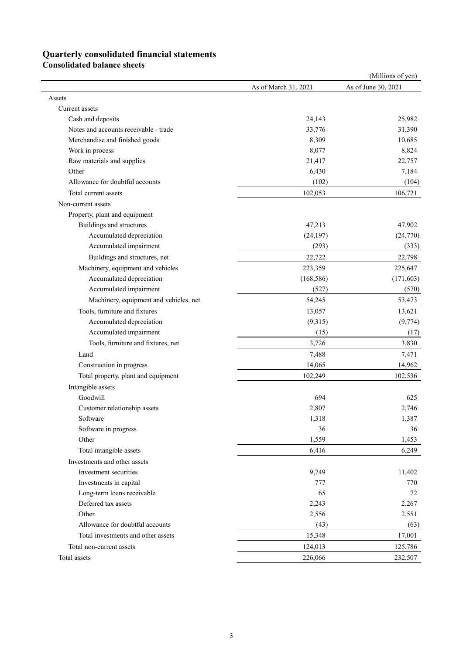## **Quarterly consolidated financial statements**

**Consolidated balance sheets**

|                                        |                      | (Millions of yen)   |
|----------------------------------------|----------------------|---------------------|
|                                        | As of March 31, 2021 | As of June 30, 2021 |
| Assets                                 |                      |                     |
| Current assets                         |                      |                     |
| Cash and deposits                      | 24,143               | 25,982              |
| Notes and accounts receivable - trade  | 33,776               | 31,390              |
| Merchandise and finished goods         | 8,309                | 10,685              |
| Work in process                        | 8,077                | 8,824               |
| Raw materials and supplies             | 21,417               | 22,757              |
| Other                                  | 6,430                | 7,184               |
| Allowance for doubtful accounts        | (102)                | (104)               |
| Total current assets                   | 102,053              | 106,721             |
| Non-current assets                     |                      |                     |
| Property, plant and equipment          |                      |                     |
| Buildings and structures               | 47,213               | 47,902              |
| Accumulated depreciation               | (24, 197)            | (24,770)            |
| Accumulated impairment                 | (293)                | (333)               |
| Buildings and structures, net          | 22,722               | 22,798              |
| Machinery, equipment and vehicles      | 223,359              | 225,647             |
| Accumulated depreciation               | (168, 586)           | (171, 603)          |
| Accumulated impairment                 | (527)                | (570)               |
| Machinery, equipment and vehicles, net | 54,245               | 53,473              |
| Tools, furniture and fixtures          | 13,057               | 13,621              |
| Accumulated depreciation               | (9,315)              | (9, 774)            |
| Accumulated impairment                 | (15)                 | (17)                |
| Tools, furniture and fixtures, net     | 3,726                | 3,830               |
| Land                                   | 7,488                | 7,471               |
|                                        | 14,065               | 14,962              |
| Construction in progress               |                      |                     |
| Total property, plant and equipment    | 102,249              | 102,536             |
| Intangible assets                      |                      |                     |
| Goodwill                               | 694                  | 625                 |
| Customer relationship assets           | 2,807                | 2,746               |
| Software                               | 1,318                | 1,387               |
| Software in progress                   | 36                   | 36                  |
| Other                                  | 1,559                | 1,453               |
| Total intangible assets                | 6,416                | 6,249               |
| Investments and other assets           |                      |                     |
| Investment securities                  | 9,749                | 11,402              |
| Investments in capital                 | 777                  | 770                 |
| Long-term loans receivable             | 65                   | 72                  |
| Deferred tax assets                    | 2,243                | 2,267               |
| Other                                  | 2,556                | 2,551               |
| Allowance for doubtful accounts        | (43)                 | (63)                |
| Total investments and other assets     | 15,348               | 17,001              |
| Total non-current assets               | 124,013              | 125,786             |
| Total assets                           | 226,066              | 232,507             |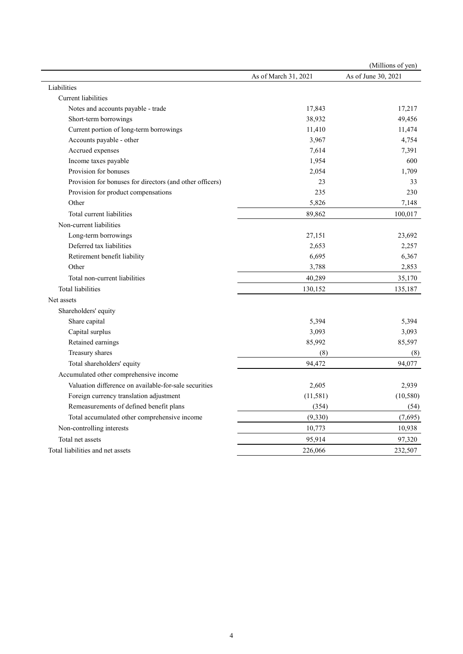|                                                          |                      | (Millions of yen)   |
|----------------------------------------------------------|----------------------|---------------------|
|                                                          | As of March 31, 2021 | As of June 30, 2021 |
| Liabilities                                              |                      |                     |
| Current liabilities                                      |                      |                     |
| Notes and accounts payable - trade                       | 17,843               | 17,217              |
| Short-term borrowings                                    | 38,932               | 49,456              |
| Current portion of long-term borrowings                  | 11,410               | 11,474              |
| Accounts payable - other                                 | 3,967                | 4,754               |
| Accrued expenses                                         | 7,614                | 7,391               |
| Income taxes payable                                     | 1,954                | 600                 |
| Provision for bonuses                                    | 2,054                | 1,709               |
| Provision for bonuses for directors (and other officers) | 23                   | 33                  |
| Provision for product compensations                      | 235                  | 230                 |
| Other                                                    | 5,826                | 7,148               |
| Total current liabilities                                | 89,862               | 100,017             |
| Non-current liabilities                                  |                      |                     |
| Long-term borrowings                                     | 27,151               | 23,692              |
| Deferred tax liabilities                                 | 2,653                | 2,257               |
| Retirement benefit liability                             | 6,695                | 6,367               |
| Other                                                    | 3,788                | 2,853               |
| Total non-current liabilities                            | 40,289               | 35,170              |
| <b>Total liabilities</b>                                 | 130,152              | 135,187             |
| Net assets                                               |                      |                     |
| Shareholders' equity                                     |                      |                     |
| Share capital                                            | 5,394                | 5,394               |
| Capital surplus                                          | 3,093                | 3,093               |
| Retained earnings                                        | 85,992               | 85,597              |
| Treasury shares                                          | (8)                  | (8)                 |
| Total shareholders' equity                               | 94,472               | 94,077              |
| Accumulated other comprehensive income                   |                      |                     |
| Valuation difference on available-for-sale securities    | 2,605                | 2,939               |
| Foreign currency translation adjustment                  | (11, 581)            | (10, 580)           |
| Remeasurements of defined benefit plans                  | (354)                | (54)                |
| Total accumulated other comprehensive income             | (9, 330)             | (7,695)             |
| Non-controlling interests                                | 10,773               | 10,938              |
| Total net assets                                         | 95,914               | 97,320              |
| Total liabilities and net assets                         | 226,066              | 232,507             |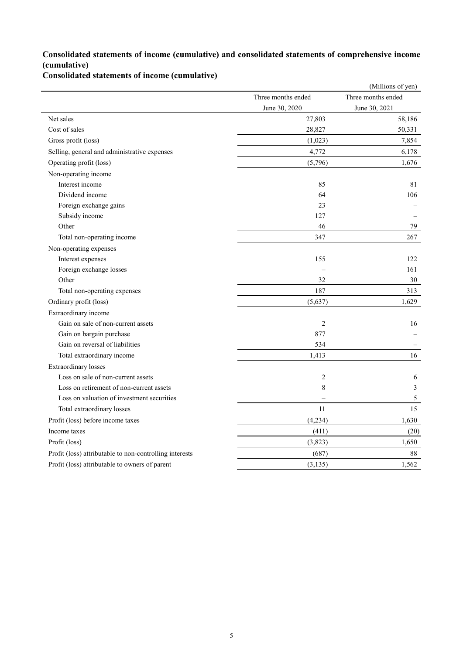### **Consolidated statements of income (cumulative) and consolidated statements of comprehensive income (cumulative)**

**Consolidated statements of income (cumulative)**

|                                                         |                    | (Millions of yen)  |
|---------------------------------------------------------|--------------------|--------------------|
|                                                         | Three months ended | Three months ended |
|                                                         | June 30, 2020      | June 30, 2021      |
| Net sales                                               | 27,803             | 58,186             |
| Cost of sales                                           | 28,827             | 50,331             |
| Gross profit (loss)                                     | (1,023)            | 7,854              |
| Selling, general and administrative expenses            | 4,772              | 6,178              |
| Operating profit (loss)                                 | (5,796)            | 1,676              |
| Non-operating income                                    |                    |                    |
| Interest income                                         | 85                 | 81                 |
| Dividend income                                         | 64                 | 106                |
| Foreign exchange gains                                  | 23                 |                    |
| Subsidy income                                          | 127                |                    |
| Other                                                   | 46                 | 79                 |
| Total non-operating income                              | 347                | 267                |
| Non-operating expenses                                  |                    |                    |
| Interest expenses                                       | 155                | 122                |
| Foreign exchange losses                                 |                    | 161                |
| Other                                                   | 32                 | 30                 |
| Total non-operating expenses                            | 187                | 313                |
| Ordinary profit (loss)                                  | (5,637)            | 1,629              |
| Extraordinary income                                    |                    |                    |
| Gain on sale of non-current assets                      | $\overline{2}$     | 16                 |
| Gain on bargain purchase                                | 877                |                    |
| Gain on reversal of liabilities                         | 534                |                    |
| Total extraordinary income                              | 1,413              | 16                 |
| <b>Extraordinary losses</b>                             |                    |                    |
| Loss on sale of non-current assets                      | $\mathbf{2}$       | 6                  |
| Loss on retirement of non-current assets                | 8                  | 3                  |
| Loss on valuation of investment securities              |                    | $\sqrt{5}$         |
| Total extraordinary losses                              | 11                 | 15                 |
| Profit (loss) before income taxes                       | (4,234)            | 1,630              |
| Income taxes                                            | (411)              | (20)               |
| Profit (loss)                                           | (3,823)            | 1,650              |
| Profit (loss) attributable to non-controlling interests | (687)              | 88                 |
| Profit (loss) attributable to owners of parent          | (3, 135)           | 1,562              |